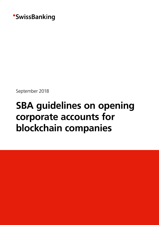

September 2018

# **SBA guidelines on opening corporate accounts for blockchain companies**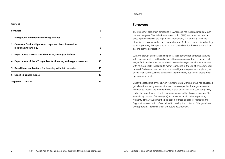# **Foreword**

The number of blockchain companies in Switzerland has increased markedly over the last two years. The Swiss Bankers Association (SBA) welcomes this trend and takes a positive view of the high market momentum, as it boosts Switzerland's attractiveness as a workplace and financial centre. Banks see blockchain technology as an opportunity that opens up an array of possibilities for the country as a financial and technology location.

With the growth of blockchain companies, their demand for corporate accounts with banks in Switzerland has also risen. Opening an account poses various challenges for banks because the new blockchain technologies can also be associated with risks, especially in relation to money laundering in the use of cryptocurrencies or fraud. Switzerland has strict laws and due diligence requirements in place governing financial transactions. Banks must therefore carry out careful checks when opening an account.

Under the leadership of the SBA, in recent months a working group has developed guidelines for opening accounts for blockchain companies. These guidelines are intended to support the member banks in their discussions with such companies, and at the same time assist with risk management in their business dealings. The Federal Department of Finance (FDF) and Swiss Financial Market Supervisory Authority (FINMA) welcome the publication of these guidelines. Moreover, the Crypto Valley Association (CVA) helped to develop the contents of the guidelines and supports its implementation and future development.

#### **Content**

| <b>Foreword</b>                                                                          |    |
|------------------------------------------------------------------------------------------|----|
| 1. Background and structure of the guidelines                                            | 4  |
| 2. Questions for due diligence of corporate clients involved in<br>blockchain technology | 6  |
| 3. Expectations TOWARDS of the ICO organiser (see before)                                | 8  |
| 4. Expectations of the ICO organiser for financing with cryptocurrencies                 | 10 |
| 5. Due diligence obligations for financing with fiat currencies                          | 13 |
| 6. Specific business models                                                              | 13 |
| <b>Appendix – Glossar</b>                                                                | 14 |

# Foreword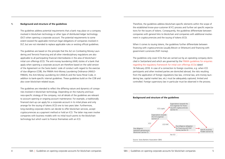Therefore, the guidelines address blockchain-specific elements within the scope of the established know-your-customer (KYC) process and further set specific expectations for the issuers of tokens. Consequently, the guidelines differentiate between companies with general links to blockchain and companies with additional involvement in cryptocurrencies and the issuing of tokens (ICO).

The guidelines only cover ICOs that are carried out by an operating company domiciled in Switzerland and which are governed by the FINMA guidelines for enquiries regarding the regulatory framework for initial coin offerings (ICOs) dated 16 February 2018. In case of a connection to foreign countries, e.g. when ICO participants and other involved parties are domiciled abroad, the risks resulting from the application of foreign regulations (tax law, criminal law, anti-money laundering law, capital market law, etc.) must be adequately captured, limited and controlled. Foreign supervisory law in particular must be observed in the process.

When it comes to issuing tokens, the guidelines further differentiate between financing with cryptocurrencies (usually Bitcoin or Ethereum) and financing with government currencies (FIAT money).

# <span id="page-2-0"></span>**1. Background and structure of the guidelines**

The guidelines address potential requirements that a bank may place on a company involved in blockchain technology or other type of distributed ledger technology (DLT) when opening a corporate account. The potential requirements to some extent exceed the applicable minimum legal obligations of companies involved in DLT, but are not intended to replace applicable rules or existing official guidelines.

The guidelines are based on the principle that the Act on Combating Money Laundering and Terrorist Financing and all other interdisciplinary regulations are also applicable to all participating financial intermediaries in the area of blockchain/ initial coin offerings (ICO). The anti-money laundering (AML) duties of a bank that apply when opening a corporate account are therefore based on the valid version of the Agreement on the Swiss banks' code of conduct with regard to the exercise of due diligence (CDB), the FINMA Anti-Money Laundering Ordinance (AMLO-FINMA), the Anti-Money Laundering Act (AMLA) and the Swiss Penal Code, in addition to bank-specific internal guidelines. These guidelines build on the CDB and also cover blockchain-related issues.

The guidelines are intended to reflect the differing nature and dynamics of companies involved in blockchain technology. Depending on the maturity and business-specific strategy of the company, not all details of the guidelines are relevant to account opening or ongoing account maintenance. For example, a traditionally financed start-up can apply for a corporate account in its initial phase and only arrange for the issuing of tokens (ICO) one to two years later. Furthermore, long-standing corporate clients can decide to offer blockchain services, accept cryptocurrencies as a payment method or hold an ICO. The latter may even involve companies with business models with no initial touch points to the blockchain technology but which want to finance themselves with an ICO.



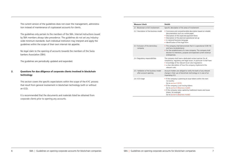| Measure/check                                                 | <b>Details</b>                                                                                                                                                                                                                                                                                                |
|---------------------------------------------------------------|---------------------------------------------------------------------------------------------------------------------------------------------------------------------------------------------------------------------------------------------------------------------------------------------------------------|
| 2.1 Blockchain or DLT involvement                             | Specific description of the areas of involvement                                                                                                                                                                                                                                                              |
| 2.2 Description of the business model                         | • Conclusive and comprehensible description based on relia<br>documentation such as a white paper<br>• Description of the expected payment flows<br>• Description of the planned operational set-up<br>• In national/business language<br>· Identification of the legal form                                  |
| 2.3 Exclusion of the domiciliary<br>company                   | • The company shall demonstrate that it is operational (CD<br>and has a localsubstance.<br>• For the establishment of a new company: The company s<br>disclose its intentions, purpose and expected current reve<br>andexpenses.                                                                              |
| 2.4 Regulatory responsibilities                               | The company shall have a dedicated contact partner for all<br>compliance, regulatory and legal issues. In particular it shall<br>• knowledge of the relevant local rules/regulations<br>• a clear description of how the company implements the<br>relevant rules.                                            |
| 2.5 Validation of the business model<br>after account opening | Account holders are obliged to notify the bank of any relev<br>change in their use of blockchain technology or in case of a<br>impending ICO.                                                                                                                                                                 |
| 2.6 ICO triage                                                | • If the company is planning to issue tokens within the nex<br>12 months:<br>Go to section 3 (ICO)<br>• If the company is not issuing tokens:<br>Go to section 6 (Business model)<br>• If the company raises capital by traditional means and iss<br>shares, for example:<br>Go to section 6 (Business model) |

- ed on reliable
- 
- 
- 
- 
- tional (CDB 16)
- company shall discript revenue
- ular it shall have: ents the
- 
- any relevant case of an
- in the next
- 
- 
- 
- ins and issues
- 

<span id="page-3-0"></span>The current version of the guidelines does not cover the management, administration instead of maintenance of cryptoasset accounts for clients.

The guidelines only pertain to the members of the SBA. Internal instructions issued by SBA members always take precedence. The guidelines do not set any industrywide minimum standards. Each individual institution may interpret and apply the guidelines within the scope of their own internal risk appetite.

No legal claim to the opening of accounts towards the members of the Swiss bankers Association (SBA).

The guidelines are periodically updated and expanded.

# **2. Questions for due diligence of corporate clients involved in blockchain technology**

This section covers the specific expectations within the scope of the KYC process that result from general involvement in blockchain technology (with or without an ICO).

It is recommended that the documents and materials listed be obtained from corporate clients prior to opening any accounts.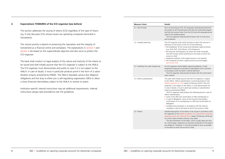| Measure/check                       | <b>Details</b>                                                                                                                                                                      |
|-------------------------------------|-------------------------------------------------------------------------------------------------------------------------------------------------------------------------------------|
| 3.1 Use of funds                    | Prior to I<br>the proje<br>ited into<br>used for<br>The IC<br>and con                                                                                                               |
| 3.2 Liquidity planning              | The ICO<br>held pric<br>• the br<br>(e.g. 5<br>the an<br>into Fl<br>accoul<br>repayr<br>the co<br>(see se                                                                           |
| 3.3 Handling risk under foreign law | An ICO o<br>impleme<br>in accord<br>The IC<br>upon red                                                                                                                              |
| 3.4 AMLA subordination              | The banl<br>to the A<br>FINMA <sub>S</sub><br>organise<br>In case c<br>enquiry<br>The IC<br>AMLA SI<br>$\bullet$ name<br>$\bullet$ in case<br>confiri<br>delega<br>• compl<br>compl |
| 3.5 Tokens                          | Detailed<br>the App<br>regardin<br>its currer<br>This d<br>of a whi<br>due dilig<br>to the ba                                                                                       |

- launching an ICO, ICO organisers shall demonstrate that ect to be financed exists and that the funds being deposthe account stem from the ICO and will subsequently be the stated purpose.
- The ICO organiser shall provide the bank with its final terms ditions.
- organiser shall notify the bank at which the account is or to the launch of the ICO of the following:
- reakdown of fiat money and individual cryptocurrencies 50% FIAT, 25% Bitcoin, 25% Ethereum)
- mounts and frequency at which the funds converted IAT money will be transferred to the bank at which the account is held
- ment patterns if the target amount is not reached ompanies at which cryptocurrencies are exchanged ection 4.6)
- organiser shall establish relevant guidelines. It shall ent measures to exclude ICO participants from countries dance with the bank's internal definition.
- The ICO organiser shall provide the bank with this information quest.
- alk shall initially assume that the ICO organiser is subject AMLA. AMLA subordination is exclusively based on the guidelines for ICOs dated 16 February 2018. If the ICO er is not subject to the AMLA, it must demonstrate this. of doubt, it must in particular produce a subordination answered by FINMA.
- CO organiser shall produce the following proof in case of subordination:
- of the SRO and confirmation of SRO membership or e of delegation: name of the financial intermediary, mation of its membership in a SRO and confirmation of lation
- lete documentation in accordance with the internal liance rules of the bank at which the account is held.
- description of the tokens to be issued in accordance with endix to the FINMA guidelines for subordination enquiries ng initial coin offerings (ICOs) dated 16 February 2018 and Int status (market maturity, issue date).
- Iocumentation of the token, which usually takes the form ite paper, represents an essential component of the bank's ence. Therefore, it must be provided as soon as possible ank at which the account is held.

# <span id="page-4-0"></span>**3. Expectations TOWARDS of the ICO organiser (see before)**

This section addresses the issuing of tokens (ICO) regardless of the type of financing. It only discusses ICOs whose issuers are operating companies domiciled in Switzerland.

The utmost priority is placed on preserving the reputation and the integrity of Switzerland as a financial centre and workplace. The explanations in section 3 and section 4 are based on this superordinate objective and also serve to protect the ICO organiser.

The bank shall conduct no legal analysis of the nature and maturity of the tokens to be issued and shall initially assume that the ICO organiser is subject to the AMLA. The ICO organiser must demonstrate and justify its case if it is not subject to the AMLA. In case of doubt, it must in particular produce proof in the form of a subordination enquiry answered by FINMA. The AMLA stipulates various due diligence obligations and the duty to either join a self-regulating organisation (SRO) or allow a Swiss financial intermediary subject to the AMLA to receive its assets.

Institution-specific internal instructions may set additional requirements. Internal instructions always take precedence over the guidelines.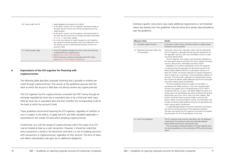# Institution-specific instructions may create additional requirements or set threshold values that deviate from the guidelines. Internal instructions always take precedence

4.1 Accepted cryptocurrencies In principle, cryptocurrency should be suited to a wallet analysis. ons must be justified.

> ation about every subscriber, which must be collected by O organiser, is generally derived from the requirements of plicable rules (e.g. SRO rules and FINMA circular on video hline identification).

ICO organiser must register each participant regardless of bscription amount and record the name, address (including  $y$ ), date of birth, nationalities and place of birth.

ardless of the AMLA subordination of the ICO organiser, pected that the participant be identified pursuant to the /AMLO-FINMA/CDB from a subscription amount of at HF 15,000. Any further measures to increase transparency to reduce risk, in particular in view of potential violations of ons. The information collected in the identification process ntains all relevant wallet addresses that the ICO participant hen making capital contributions.

ICOs of payment tokens are subject to the AMLA. In lance with FINMA practice, in this case a simplified idenon duty applies up to a threshold value of CHF 3,000 in lance with Art. 12, para. 2 (d) AMLO-FINMA by means of a copy of an identification document (instead of the general ication duty from CHF 0). Here, the name, address, date n, beneficial owner/authority holder, e-mail and telenumber must be recorded in writing. The information also es all relevant wallet addresses that the ICO participant uses making capital contributions.

generally appropriate to document beneficial ownership in Ith the existing processes of the respective institution. nk may request the ICO organiser to provide the complete entation for the ICO participants at any time.

over the guidelines.

4.3 Use of risk databases The ICO organiser shall reconcile subscribers with risk databases nary for the industry (in particular politically exposed ns [PEP] and terrorism and sanction lists).

> reconciliation shall be provided to the bank together with ernal guidelines on the monitoring of PEPs and sanctioned

|     | Measure/check                                      | <b>Details</b>                                                                                                                                                                                                                                                                                                                 |
|-----|----------------------------------------------------|--------------------------------------------------------------------------------------------------------------------------------------------------------------------------------------------------------------------------------------------------------------------------------------------------------------------------------|
|     | 4.1 Accepted cryptocurrencies                      | In princ<br>Deviatio                                                                                                                                                                                                                                                                                                           |
| 4.2 | Obtaining information about the<br>ICO participant | Informa<br>the ICO<br>the app<br>and onl<br>The I<br>the sub<br>country<br>Rega<br>it is exp<br>AMLA/<br>least CH<br>serve tc<br>sanctior<br>also cor<br>uses wh<br>The I<br>accorda<br>tificatio<br>accorda<br>simple o<br>identifid<br>of birth<br>phone r<br>include:<br>when n<br>It is g<br>line wit<br>The bar<br>docume |
|     | 4.3 Use of risk databases                          | The ICC<br>custom<br>persons<br>The r<br>the inte<br>clients.                                                                                                                                                                                                                                                                  |

<span id="page-5-0"></span>

| 3.6 Duties under the ICO  | • Legal obligations are based on the AMLA.<br>• At the bank's request, the ICO organiser shall demonstrate to<br>the bank that the current use of funds corresponds with the<br>stated purpose.<br>• At the bank's request, the ICO organiser shall demonstrate to<br>the bank that the restrictions for foreign participants described<br>in section 3.3 have been upheld.<br>• As a rule, any measure to create transparency with regard to<br>the change of ownership (tokens) after the completion of the<br>ICO reduces risk and is welcomed by the bank at which the<br>account is held. |
|---------------------------|------------------------------------------------------------------------------------------------------------------------------------------------------------------------------------------------------------------------------------------------------------------------------------------------------------------------------------------------------------------------------------------------------------------------------------------------------------------------------------------------------------------------------------------------------------------------------------------------|
| 3.7 Financing type triage | • If the ICO organiser arranges for some or all of the financing<br>on blockchain/via a cryptocurrency:<br>• Go to section 4 (ICO with financing)<br>• If the financing is carried out exclusively with FIAT money:<br>Go to section 5 (Due diligence obligations)                                                                                                                                                                                                                                                                                                                             |

# **4. Expectations of the ICO organiser for financing with cryptocurrencies**

The following table describes corporate financing that is partially or entirely executed through cryptocurrencies. This version of the guidelines assumes that the bank at which the account is held does not directly receive any cryptocurrencies.

The ICO organiser has the cryptocurrencies converted into FIAT money through an exchange regulated by Swiss law or equivalent laws or by a third-part bank regulated by Swiss law or equivalent laws and then transfers the corresponding funds to the bank at which the account is held.

These guidelines recommend requiring the ICO organiser, regardless of whether or not it is subject to the AMLA, to apply the KYC and AML standards applicable in Switzerland to the receipt of funds when accepting cryptocurrencies.

Furthermore, as a rule the receipt of cryptocurrencies within the scope of an ICO may be treated at least as a cash transaction. However, it should be noted that every transaction is stored in the blockchain and there is a risk of violating sanctions with transactions in cryptocurrencies, regardless of their amount. The form of token and AMLA subordination also give rise to additional obligations.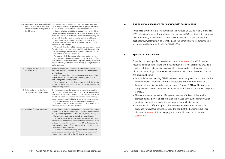# **5. Due diligence obligations for financing with fiat currencies**

Regardless of whether the financing is for the purpose of issuing tokens or shares: KYC duties (e.g. source of funds/beneficial ownership [BO], etc.) apply to financing with FIAT money as they do to a normal account opening. In this context, ICO participants/investors must be identified and the beneficial owners determined in accordance with the AMLA/AMLO-FINMA/CDB.

# **6. Specific business models**

• In accordance with existing FINMA practice, the exchange of cryptocurrencies for government FIAT money or for other cryptocurrencies is considered to be a financial intermediary activity pursuant to Art. 2, para. 3 ALMA. The applying company must also disclose and check the applicability of the Stock Exchange Act

Potential company-specific characteristics listed in sections 2.1 and 2.2 may also require additional clarifications and documentation. It is not possible to provide a conclusive list and detailed discussion of all business models that are involved in blockchain technology. The areas of involvement most commonly seen in practice are discussed below:

- (FinfraG).
- The same also applies to the offering and transfer of tokens. If the service provider), the service provider is considered a financial intermediary.
- Companies that offer the option of obtaining their services or products in section 4.2.

provider holds a power of disposal over the private key (i.e. the custody wallet exchange for cryptocurrencies are urged to conduct the background checks discussed in section 4.5 and to apply the threshold values recommended in

<span id="page-6-0"></span>

| 4.4 Background check (source of funds)<br>and risk assessment of the wallet<br>addresses used for participation in<br>the ICO (AML) | It is generally recommended that the ICO organiser takes a risk-<br>based approach to the background check. A general tracing of<br>the source of the funds in the blockchain has so far not been<br>required. In principle, all additional transparency that the ICO or-<br>ganiser provides serves to reduce risk. In special cases or instances<br>of specific suspicion in particular, it is recommended to carry out<br>a thorough check by means of a wallet analysis or additional<br>documentation (e.g. additional due diligence instead of a pure<br>database reconciliation in case of high investment amounts or<br>domicile in a risk country).<br>A thorough check by the ICO organiser is always recommended<br>for subscriptions that exceed CHF 100,000 (individual or cumula-<br>tive). This thorough check includes documented reconciliation of<br>wallet addresses and ICO subscribers.<br>The bank at which the account is held reserves the right to re-<br>quest information about the investors prior to the receipt of funds<br>and, should it have its own specific suspicions, to request the ICO<br>organiser to carry out further clarifications (e.g. receipt of specific<br>wallet analyses). |
|-------------------------------------------------------------------------------------------------------------------------------------|-------------------------------------------------------------------------------------------------------------------------------------------------------------------------------------------------------------------------------------------------------------------------------------------------------------------------------------------------------------------------------------------------------------------------------------------------------------------------------------------------------------------------------------------------------------------------------------------------------------------------------------------------------------------------------------------------------------------------------------------------------------------------------------------------------------------------------------------------------------------------------------------------------------------------------------------------------------------------------------------------------------------------------------------------------------------------------------------------------------------------------------------------------------------------------------------------------------------------------|
| 4.5 Quality certification of the<br>KYC/AML check                                                                                   | Regardless of AMLA subordination, it is recommended that<br>KYC/AML checks be carried out in accordance with the applica-<br>ble standards.<br>An ICO organiser that is not subject to the AMLA may either<br>employ a financial intermediary or a company specialised in<br>AMLA compliance for this purpose.<br>The results shall be disclosed to the bank at which the account<br>is held. The results shall also document compliance with internal<br>company PEP guidelines.                                                                                                                                                                                                                                                                                                                                                                                                                                                                                                                                                                                                                                                                                                                                             |
| 4.6 Exchange for conversion from<br>cryptocurrency into FIAT money                                                                  | Crypto exchanges and the conversion of cryptocurrencies into<br>FIAT money pose a particular risk for banks as the risks associated<br>with AMLA issues are very evident at the conversion point. Banks<br>must therefore set risk-reducing requirements for an exchange:<br>e.g. an exchange regulated by Swiss law or equivalent laws or a<br>third-party bank regulated by Swiss law or equivalent laws.<br>The definition of "equivalent regulation" shall be based on the<br>internal quidelines of the respective bank.                                                                                                                                                                                                                                                                                                                                                                                                                                                                                                                                                                                                                                                                                                 |
| 4.7 Suspicion of money laundering                                                                                                   | The participant shall not be authorised for the ICO (unless legally<br>required due to the ban on tipping-off following a report to the<br>Money Laundering Reporting Office [MLRO], Art. 9a AMLA). The<br>ICO organiser is responsible for excluding the participant.<br>The bank at which the account is held may waive bank client<br>confidentiality for necessary clarifications within the scope of KYC<br>and due diligence of a company with an ICO on the basis of the<br>corresponding consent of the corporate client in the contract or<br>by means of a separate waiver.<br>The bank should explicitly notify corporate clients of this cir-<br>cumstance and, accordingly, the ICO organiser is recommended<br>to state this transparently in the ICO terms & conditions.                                                                                                                                                                                                                                                                                                                                                                                                                                       |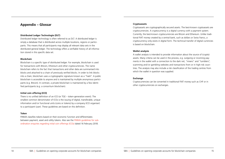### **Cryptoassets**

Cryptoassets are cryptographically secured assets. The best-known cryptoassets are cryptocurrencies. A cryptocurrency is a digital currency with a payment system. Currently, the best-known cryptocurrencies are Bitcoin and Ethereum. Unlike traditional FIAT money created by a central bank, such as dollars or Swiss francs, a cryptocurrency only exists in digital form. The technical transfer of digital currencies is based on blockchain.

A wallet analysis is intended to provide information about the source of (crypto) assets. Many criteria can be used in the process, e.g. outgoing or incoming payments in the wallet with a connection to the dark net, "mixers" and "tumblers", scamming and/or gambling websites and transactions from or in high-risk countries. The analysis may also include a risk classification of the trading centres from which the wallet in question was supplied.

### **Wallet analysis**

#### **Exchange**

Cryptocurrencies can be converted in traditional FIAT money such as CHF or in other cryptocurrencies on exchanges.

# <span id="page-7-0"></span>**Appendix – Glossar**

# **Distributed Ledger Technologie (DLT)**

Distributed ledger technology is often referred to as DLT. A distributed ledger is simply a database that is distributed across multiple locations, regions or participants. This means that all participants may display all relevant data sets in the distributed general ledger. The technology offers a verifiable history of all information stored in this specific data set.

# **Blockchain**

Blockchain is a specific type of distributed ledger. For example, blockchain is used for transactions with Bitcoin, Ethereum and other cryptocurrencies. The name blockchain refers to the fact that transactions and other data are summarised into blocks and attached to a chain of previously verified blocks. In order to link blocks into a chain, blockchain uses a cryptographic signature known as a "hash". A public blockchain is accessible to anyone and is maintained by multiple anonymous participants (e.g. Bitcoin). In contrast, a private blockchain is maintained by a few identified participants (e.g. a consortium blockchain).

# **Initial coin offering (ICO)**

There is no unified definition of an ICO (or TGE – token-generation event). The smallest common denominator of ICOs is the issuing of digital, transferable, unique information and/or functional units (coins or tokens) by a company (ICO organiser) to a participant (user). These guidelines are based on this definition.

#### **Token**

FINMA classifies tokens based on their economic function and differentiates between payment, asset and utility tokens. Also see the FINMA guidelines for subordination enquiries regarding initial coin offerings (ICOs) dated 16 February 2018.